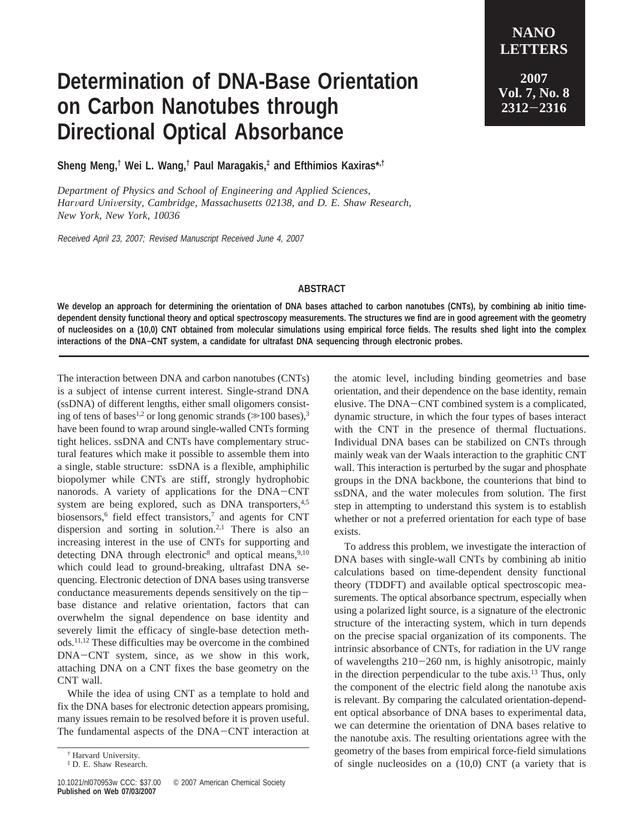**NANO**

## **Determination of DNA-Base Orientation on Carbon Nanotubes through Directional Optical Absorbance**

**Sheng Meng,† Wei L. Wang,† Paul Maragakis,‡ and Efthimios Kaxiras\*,†**

*Department of Physics and School of Engineering and Applied Sciences, Har*V*ard Uni*V*ersity, Cambridge, Massachusetts 02138, and D. E. Shaw Research, New York, New York, 10036*

Received April 23, 2007; Revised Manuscript Received June 4, 2007

## **ABSTRACT**

**We develop an approach for determining the orientation of DNA bases attached to carbon nanotubes (CNTs), by combining ab initio timedependent density functional theory and optical spectroscopy measurements. The structures we find are in good agreement with the geometry of nucleosides on a (10,0) CNT obtained from molecular simulations using empirical force fields. The results shed light into the complex interactions of the DNA**−**CNT system, a candidate for ultrafast DNA sequencing through electronic probes.**

The interaction between DNA and carbon nanotubes (CNTs) is a subject of intense current interest. Single-strand DNA (ssDNA) of different lengths, either small oligomers consisting of tens of bases<sup>1,2</sup> or long genomic strands ( $\gg$ 100 bases),<sup>3</sup> have been found to wrap around single-walled CNTs forming tight helices. ssDNA and CNTs have complementary structural features which make it possible to assemble them into a single, stable structure: ssDNA is a flexible, amphiphilic biopolymer while CNTs are stiff, strongly hydrophobic nanorods. A variety of applications for the DNA-CNT system are being explored, such as DNA transporters,<sup>4,5</sup> biosensors,<sup>6</sup> field effect transistors,<sup>7</sup> and agents for CNT dispersion and sorting in solution.<sup>2,1</sup> There is also an increasing interest in the use of CNTs for supporting and detecting DNA through electronic<sup>8</sup> and optical means,  $9,10$ which could lead to ground-breaking, ultrafast DNA sequencing. Electronic detection of DNA bases using transverse conductance measurements depends sensitively on the tipbase distance and relative orientation, factors that can overwhelm the signal dependence on base identity and severely limit the efficacy of single-base detection methods.11,12 These difficulties may be overcome in the combined DNA-CNT system, since, as we show in this work, attaching DNA on a CNT fixes the base geometry on the CNT wall.

While the idea of using CNT as a template to hold and fix the DNA bases for electronic detection appears promising, many issues remain to be resolved before it is proven useful. The fundamental aspects of the DNA-CNT interaction at

the atomic level, including binding geometries and base orientation, and their dependence on the base identity, remain elusive. The DNA-CNT combined system is a complicated, dynamic structure, in which the four types of bases interact with the CNT in the presence of thermal fluctuations. Individual DNA bases can be stabilized on CNTs through mainly weak van der Waals interaction to the graphitic CNT wall. This interaction is perturbed by the sugar and phosphate groups in the DNA backbone, the counterions that bind to ssDNA, and the water molecules from solution. The first step in attempting to understand this system is to establish whether or not a preferred orientation for each type of base exists.

To address this problem, we investigate the interaction of DNA bases with single-wall CNTs by combining ab initio calculations based on time-dependent density functional theory (TDDFT) and available optical spectroscopic measurements. The optical absorbance spectrum, especially when using a polarized light source, is a signature of the electronic structure of the interacting system, which in turn depends on the precise spacial organization of its components. The intrinsic absorbance of CNTs, for radiation in the UV range of wavelengths 210-260 nm, is highly anisotropic, mainly in the direction perpendicular to the tube  $axis$ <sup>13</sup> Thus, only the component of the electric field along the nanotube axis is relevant. By comparing the calculated orientation-dependent optical absorbance of DNA bases to experimental data, we can determine the orientation of DNA bases relative to the nanotube axis. The resulting orientations agree with the geometry of the bases from empirical force-field simulations of single nucleosides on a (10,0) CNT (a variety that is

<sup>†</sup> Harvard University.

<sup>‡</sup> D. E. Shaw Research.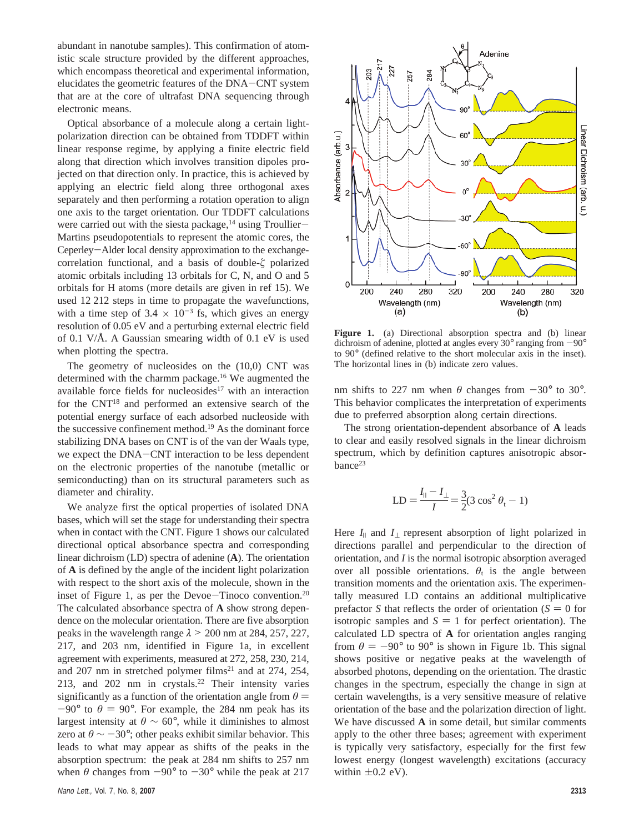abundant in nanotube samples). This confirmation of atomistic scale structure provided by the different approaches, which encompass theoretical and experimental information, elucidates the geometric features of the DNA-CNT system that are at the core of ultrafast DNA sequencing through electronic means.

Optical absorbance of a molecule along a certain lightpolarization direction can be obtained from TDDFT within linear response regime, by applying a finite electric field along that direction which involves transition dipoles projected on that direction only. In practice, this is achieved by applying an electric field along three orthogonal axes separately and then performing a rotation operation to align one axis to the target orientation. Our TDDFT calculations were carried out with the siesta package,  $14$  using Troullier-Martins pseudopotentials to represent the atomic cores, the Ceperley-Alder local density approximation to the exchangecorrelation functional, and a basis of double-*ú* polarized atomic orbitals including 13 orbitals for C, N, and O and 5 orbitals for H atoms (more details are given in ref 15). We used 12 212 steps in time to propagate the wavefunctions, with a time step of  $3.4 \times 10^{-3}$  fs, which gives an energy resolution of 0.05 eV and a perturbing external electric field of 0.1 V/Å. A Gaussian smearing width of 0.1 eV is used when plotting the spectra.

The geometry of nucleosides on the (10,0) CNT was determined with the charmm package.<sup>16</sup> We augmented the available force fields for nucleosides<sup>17</sup> with an interaction for the CNT18 and performed an extensive search of the potential energy surface of each adsorbed nucleoside with the successive confinement method.<sup>19</sup> As the dominant force stabilizing DNA bases on CNT is of the van der Waals type, we expect the DNA-CNT interaction to be less dependent on the electronic properties of the nanotube (metallic or semiconducting) than on its structural parameters such as diameter and chirality.

We analyze first the optical properties of isolated DNA bases, which will set the stage for understanding their spectra when in contact with the CNT. Figure 1 shows our calculated directional optical absorbance spectra and corresponding linear dichroism (LD) spectra of adenine (**A**). The orientation of **A** is defined by the angle of the incident light polarization with respect to the short axis of the molecule, shown in the inset of Figure 1, as per the Devoe-Tinoco convention.<sup>20</sup> The calculated absorbance spectra of **A** show strong dependence on the molecular orientation. There are five absorption peaks in the wavelength range  $\lambda > 200$  nm at 284, 257, 227, 217, and 203 nm, identified in Figure 1a, in excellent agreement with experiments, measured at 272, 258, 230, 214, and 207 nm in stretched polymer films<sup>21</sup> and at 274, 254, 213, and 202 nm in crystals.22 Their intensity varies significantly as a function of the orientation angle from  $\theta$  =  $-90^{\circ}$  to  $\theta = 90^{\circ}$ . For example, the 284 nm peak has its largest intensity at  $\theta \sim 60^{\circ}$ , while it diminishes to almost zero at  $\theta \sim -30^{\circ}$ ; other peaks exhibit similar behavior. This leads to what may appear as shifts of the peaks in the absorption spectrum: the peak at 284 nm shifts to 257 nm when  $\theta$  changes from  $-90^{\circ}$  to  $-30^{\circ}$  while the peak at 217



Figure 1. (a) Directional absorption spectra and (b) linear dichroism of adenine, plotted at angles every  $30^{\circ}$  ranging from  $-90^{\circ}$ to 90° (defined relative to the short molecular axis in the inset). The horizontal lines in (b) indicate zero values.

nm shifts to 227 nm when  $\theta$  changes from  $-30^{\circ}$  to 30°. This behavior complicates the interpretation of experiments due to preferred absorption along certain directions.

The strong orientation-dependent absorbance of **A** leads to clear and easily resolved signals in the linear dichroism spectrum, which by definition captures anisotropic absorbance<sup>23</sup>

$$
LD = \frac{I_{\parallel} - I_{\perp}}{I} = \frac{3}{2}(3\cos^2\theta_{\rm t} - 1)
$$

Here  $I_{\parallel}$  and  $I_{\perp}$  represent absorption of light polarized in directions parallel and perpendicular to the direction of orientation, and *I* is the normal isotropic absorption averaged over all possible orientations.  $\theta_t$  is the angle between transition moments and the orientation axis. The experimentally measured LD contains an additional multiplicative prefactor *S* that reflects the order of orientation ( $S = 0$  for isotropic samples and  $S = 1$  for perfect orientation). The calculated LD spectra of **A** for orientation angles ranging from  $\theta = -90^{\circ}$  to 90° is shown in Figure 1b. This signal shows positive or negative peaks at the wavelength of absorbed photons, depending on the orientation. The drastic changes in the spectrum, especially the change in sign at certain wavelengths, is a very sensitive measure of relative orientation of the base and the polarization direction of light. We have discussed **A** in some detail, but similar comments apply to the other three bases; agreement with experiment is typically very satisfactory, especially for the first few lowest energy (longest wavelength) excitations (accuracy within  $\pm 0.2$  eV).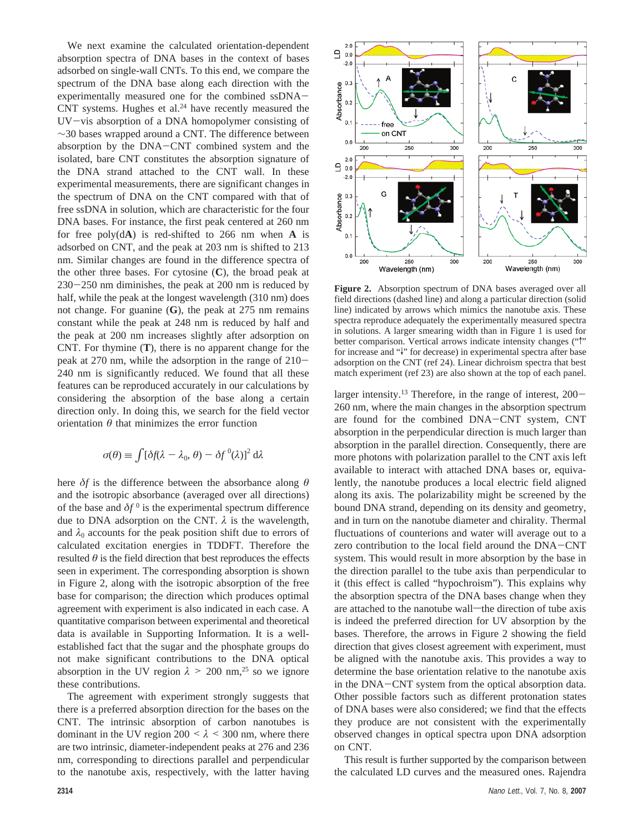We next examine the calculated orientation-dependent absorption spectra of DNA bases in the context of bases adsorbed on single-wall CNTs. To this end, we compare the spectrum of the DNA base along each direction with the experimentally measured one for the combined ssDNA-CNT systems. Hughes et al. $24$  have recently measured the UV-vis absorption of a DNA homopolymer consisting of ∼30 bases wrapped around a CNT. The difference between absorption by the DNA-CNT combined system and the isolated, bare CNT constitutes the absorption signature of the DNA strand attached to the CNT wall. In these experimental measurements, there are significant changes in the spectrum of DNA on the CNT compared with that of free ssDNA in solution, which are characteristic for the four DNA bases. For instance, the first peak centered at 260 nm for free poly(d**A**) is red-shifted to 266 nm when **A** is adsorbed on CNT, and the peak at 203 nm is shifted to 213 nm. Similar changes are found in the difference spectra of the other three bases. For cytosine (**C**), the broad peak at <sup>230</sup>-250 nm diminishes, the peak at 200 nm is reduced by half, while the peak at the longest wavelength (310 nm) does not change. For guanine (**G**), the peak at 275 nm remains constant while the peak at 248 nm is reduced by half and the peak at 200 nm increases slightly after adsorption on CNT. For thymine (**T**), there is no apparent change for the peak at 270 nm, while the adsorption in the range of 210- 240 nm is significantly reduced. We found that all these features can be reproduced accurately in our calculations by considering the absorption of the base along a certain direction only. In doing this, we search for the field vector orientation  $\theta$  that minimizes the error function

$$
\sigma(\theta) \equiv \int [\delta f(\lambda - \lambda_0, \theta) - \delta f^0(\lambda)]^2 d\lambda
$$

here *δf* is the difference between the absorbance along *θ* and the isotropic absorbance (averaged over all directions) of the base and  $\delta f^0$  is the experimental spectrum difference due to DNA adsorption on the CNT. *λ* is the wavelength, and  $\lambda_0$  accounts for the peak position shift due to errors of calculated excitation energies in TDDFT. Therefore the resulted  $\theta$  is the field direction that best reproduces the effects seen in experiment. The corresponding absorption is shown in Figure 2, along with the isotropic absorption of the free base for comparison; the direction which produces optimal agreement with experiment is also indicated in each case. A quantitative comparison between experimental and theoretical data is available in Supporting Information. It is a wellestablished fact that the sugar and the phosphate groups do not make significant contributions to the DNA optical absorption in the UV region  $\lambda$  > 200 nm,<sup>25</sup> so we ignore these contributions.

The agreement with experiment strongly suggests that there is a preferred absorption direction for the bases on the CNT. The intrinsic absorption of carbon nanotubes is dominant in the UV region  $200 \le \lambda \le 300$  nm, where there are two intrinsic, diameter-independent peaks at 276 and 236 nm, corresponding to directions parallel and perpendicular to the nanotube axis, respectively, with the latter having



**Figure 2.** Absorption spectrum of DNA bases averaged over all field directions (dashed line) and along a particular direction (solid line) indicated by arrows which mimics the nanotube axis. These spectra reproduce adequately the experimentally measured spectra in solutions. A larger smearing width than in Figure 1 is used for better comparison. Vertical arrows indicate intensity changes ("†" for increase and "V" for decrease) in experimental spectra after base adsorption on the CNT (ref 24). Linear dichroism spectra that best match experiment (ref 23) are also shown at the top of each panel.

larger intensity.<sup>13</sup> Therefore, in the range of interest,  $200-$ 260 nm, where the main changes in the absorption spectrum are found for the combined DNA-CNT system, CNT absorption in the perpendicular direction is much larger than absorption in the parallel direction. Consequently, there are more photons with polarization parallel to the CNT axis left available to interact with attached DNA bases or, equivalently, the nanotube produces a local electric field aligned along its axis. The polarizability might be screened by the bound DNA strand, depending on its density and geometry, and in turn on the nanotube diameter and chirality. Thermal fluctuations of counterions and water will average out to a zero contribution to the local field around the DNA-CNT system. This would result in more absorption by the base in the direction parallel to the tube axis than perpendicular to it (this effect is called "hypochroism"). This explains why the absorption spectra of the DNA bases change when they are attached to the nanotube wall—the direction of tube axis is indeed the preferred direction for UV absorption by the bases. Therefore, the arrows in Figure 2 showing the field direction that gives closest agreement with experiment, must be aligned with the nanotube axis. This provides a way to determine the base orientation relative to the nanotube axis in the DNA-CNT system from the optical absorption data. Other possible factors such as different protonation states of DNA bases were also considered; we find that the effects they produce are not consistent with the experimentally observed changes in optical spectra upon DNA adsorption on CNT.

This result is further supported by the comparison between the calculated LD curves and the measured ones. Rajendra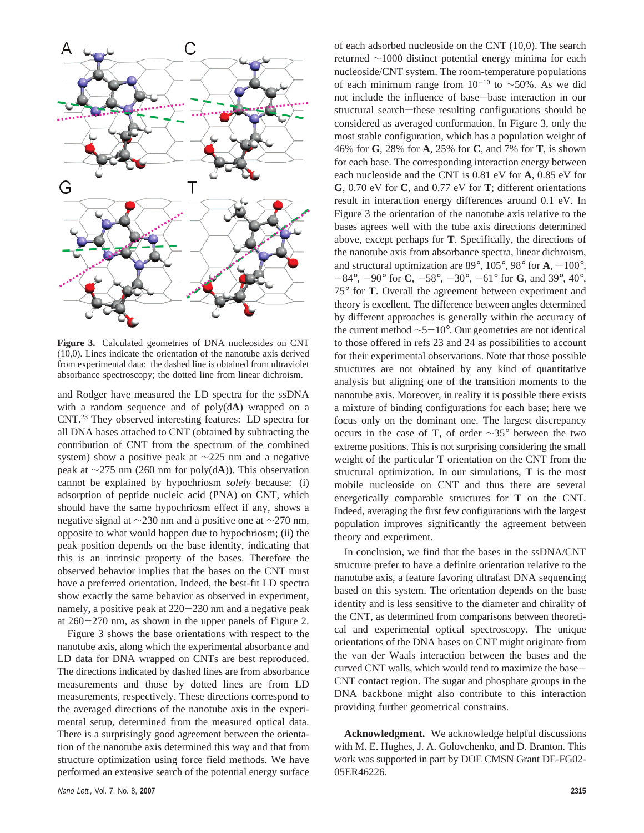

**Figure 3.** Calculated geometries of DNA nucleosides on CNT (10,0). Lines indicate the orientation of the nanotube axis derived from experimental data: the dashed line is obtained from ultraviolet absorbance spectroscopy; the dotted line from linear dichroism.

and Rodger have measured the LD spectra for the ssDNA with a random sequence and of poly(d**A**) wrapped on a CNT.23 They observed interesting features: LD spectra for all DNA bases attached to CNT (obtained by subtracting the contribution of CNT from the spectrum of the combined system) show a positive peak at ∼225 nm and a negative peak at ∼275 nm (260 nm for poly(d**A**)). This observation cannot be explained by hypochriosm *solely* because: (i) adsorption of peptide nucleic acid (PNA) on CNT, which should have the same hypochriosm effect if any, shows a negative signal at ∼230 nm and a positive one at ∼270 nm, opposite to what would happen due to hypochriosm; (ii) the peak position depends on the base identity, indicating that this is an intrinsic property of the bases. Therefore the observed behavior implies that the bases on the CNT must have a preferred orientation. Indeed, the best-fit LD spectra show exactly the same behavior as observed in experiment, namely, a positive peak at 220-230 nm and a negative peak at 260-270 nm, as shown in the upper panels of Figure 2.

Figure 3 shows the base orientations with respect to the nanotube axis, along which the experimental absorbance and LD data for DNA wrapped on CNTs are best reproduced. The directions indicated by dashed lines are from absorbance measurements and those by dotted lines are from LD measurements, respectively. These directions correspond to the averaged directions of the nanotube axis in the experimental setup, determined from the measured optical data. There is a surprisingly good agreement between the orientation of the nanotube axis determined this way and that from structure optimization using force field methods. We have performed an extensive search of the potential energy surface

of each adsorbed nucleoside on the CNT (10,0). The search returned ∼1000 distinct potential energy minima for each nucleoside/CNT system. The room-temperature populations of each minimum range from  $10^{-10}$  to ~50%. As we did not include the influence of base-base interaction in our structural search-these resulting configurations should be considered as averaged conformation. In Figure 3, only the most stable configuration, which has a population weight of 46% for **G**, 28% for **A**, 25% for **C**, and 7% for **T**, is shown for each base. The corresponding interaction energy between each nucleoside and the CNT is 0.81 eV for **A**, 0.85 eV for **G**, 0.70 eV for **C**, and 0.77 eV for **T**; different orientations result in interaction energy differences around 0.1 eV. In Figure 3 the orientation of the nanotube axis relative to the bases agrees well with the tube axis directions determined above, except perhaps for **T**. Specifically, the directions of the nanotube axis from absorbance spectra, linear dichroism, and structural optimization are 89 $^{\circ}$ , 105 $^{\circ}$ , 98 $^{\circ}$  for **A**, -100 $^{\circ}$ ,  $-84^{\circ}$ ,  $-90^{\circ}$  for **C**,  $-58^{\circ}$ ,  $-30^{\circ}$ ,  $-61^{\circ}$  for **G**, and 39<sup>°</sup>, 40<sup>°</sup>, 75° for **T**. Overall the agreement between experiment and theory is excellent. The difference between angles determined by different approaches is generally within the accuracy of the current method <sup>∼</sup>5-10°. Our geometries are not identical to those offered in refs 23 and 24 as possibilities to account for their experimental observations. Note that those possible structures are not obtained by any kind of quantitative analysis but aligning one of the transition moments to the nanotube axis. Moreover, in reality it is possible there exists a mixture of binding configurations for each base; here we focus only on the dominant one. The largest discrepancy occurs in the case of **T**, of order ∼35° between the two extreme positions. This is not surprising considering the small weight of the particular **T** orientation on the CNT from the structural optimization. In our simulations, **T** is the most mobile nucleoside on CNT and thus there are several energetically comparable structures for **T** on the CNT. Indeed, averaging the first few configurations with the largest population improves significantly the agreement between theory and experiment.

In conclusion, we find that the bases in the ssDNA/CNT structure prefer to have a definite orientation relative to the nanotube axis, a feature favoring ultrafast DNA sequencing based on this system. The orientation depends on the base identity and is less sensitive to the diameter and chirality of the CNT, as determined from comparisons between theoretical and experimental optical spectroscopy. The unique orientations of the DNA bases on CNT might originate from the van der Waals interaction between the bases and the curved CNT walls, which would tend to maximize the base-CNT contact region. The sugar and phosphate groups in the DNA backbone might also contribute to this interaction providing further geometrical constrains.

**Acknowledgment.** We acknowledge helpful discussions with M. E. Hughes, J. A. Golovchenko, and D. Branton. This work was supported in part by DOE CMSN Grant DE-FG02- 05ER46226.